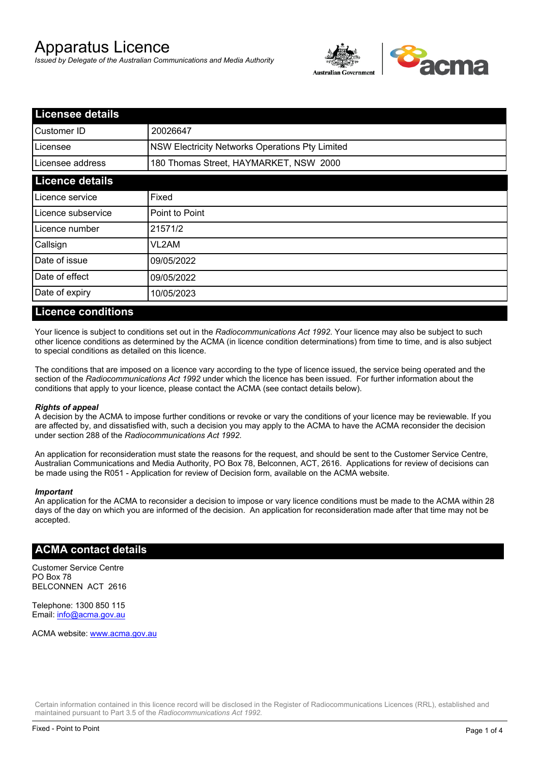# Apparatus Licence

*Issued by Delegate of the Australian Communications and Media Authority*



| <b>Licensee details</b> |                                                 |  |
|-------------------------|-------------------------------------------------|--|
| Customer ID             | 20026647                                        |  |
| Licensee                | NSW Electricity Networks Operations Pty Limited |  |
| Licensee address        | 180 Thomas Street, HAYMARKET, NSW 2000          |  |
| <b>Licence details</b>  |                                                 |  |
| Licence service         | Fixed                                           |  |
| Licence subservice      | Point to Point                                  |  |
| Licence number          | 21571/2                                         |  |
| Callsign                | VL2AM                                           |  |
| Date of issue           | 09/05/2022                                      |  |
| Date of effect          | 09/05/2022                                      |  |
| Date of expiry          | 10/05/2023                                      |  |

### **Licence conditions**

Your licence is subject to conditions set out in the *Radiocommunications Act 1992*. Your licence may also be subject to such other licence conditions as determined by the ACMA (in licence condition determinations) from time to time, and is also subject to special conditions as detailed on this licence.

The conditions that are imposed on a licence vary according to the type of licence issued, the service being operated and the section of the *Radiocommunications Act 1992* under which the licence has been issued. For further information about the conditions that apply to your licence, please contact the ACMA (see contact details below).

#### *Rights of appeal*

A decision by the ACMA to impose further conditions or revoke or vary the conditions of your licence may be reviewable. If you are affected by, and dissatisfied with, such a decision you may apply to the ACMA to have the ACMA reconsider the decision under section 288 of the *Radiocommunications Act 1992*.

An application for reconsideration must state the reasons for the request, and should be sent to the Customer Service Centre, Australian Communications and Media Authority, PO Box 78, Belconnen, ACT, 2616. Applications for review of decisions can be made using the R051 - Application for review of Decision form, available on the ACMA website.

#### *Important*

An application for the ACMA to reconsider a decision to impose or vary licence conditions must be made to the ACMA within 28 days of the day on which you are informed of the decision. An application for reconsideration made after that time may not be accepted.

#### **ACMA contact details**

Customer Service Centre PO Box 78 BELCONNEN ACT 2616

Telephone: 1300 850 115 Email: info@acma.gov.au

ACMA website: www.acma.gov.au

Certain information contained in this licence record will be disclosed in the Register of Radiocommunications Licences (RRL), established and maintained pursuant to Part 3.5 of the *Radiocommunications Act 1992.*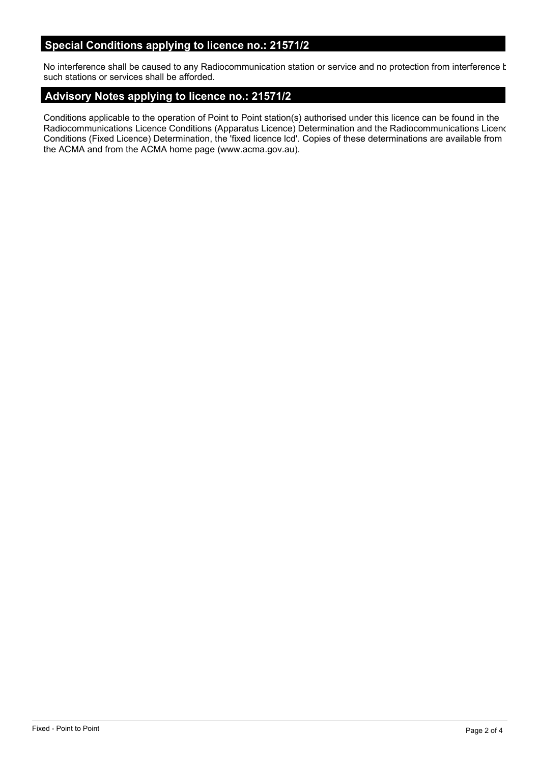# **Special Conditions applying to licence no.: 21571/2**

No interference shall be caused to any Radiocommunication station or service and no protection from interference t such stations or services shall be afforded.

# **Advisory Notes applying to licence no.: 21571/2**

Conditions applicable to the operation of Point to Point station(s) authorised under this licence can be found in the Radiocommunications Licence Conditions (Apparatus Licence) Determination and the Radiocommunications Licence Conditions (Fixed Licence) Determination, the 'fixed licence lcd'. Copies of these determinations are available from the ACMA and from the ACMA home page (www.acma.gov.au).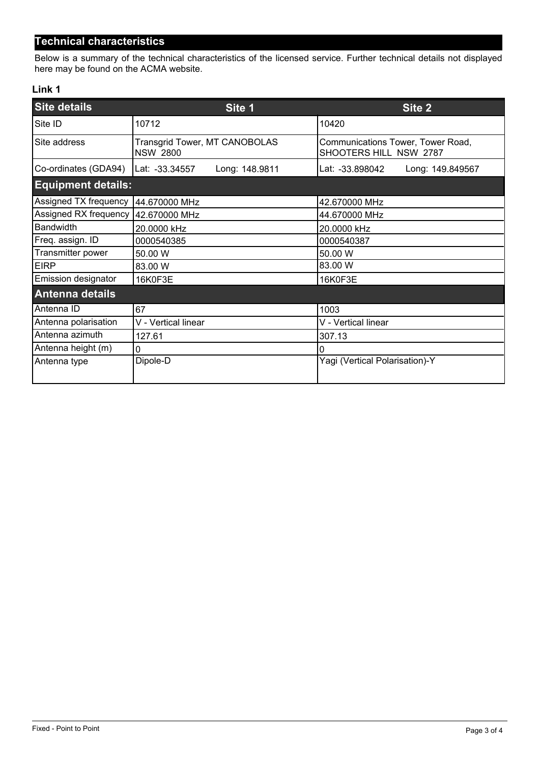# **Technical characteristics**

Below is a summary of the technical characteristics of the licensed service. Further technical details not displayed here may be found on the ACMA website.

### **Link 1**

| <b>Site details</b>                   | Site 1                                           | Site <sub>2</sub>                                           |
|---------------------------------------|--------------------------------------------------|-------------------------------------------------------------|
| Site ID                               | 10712                                            | 10420                                                       |
| Site address                          | Transgrid Tower, MT CANOBOLAS<br><b>NSW 2800</b> | Communications Tower, Tower Road,<br>SHOOTERS HILL NSW 2787 |
| Co-ordinates (GDA94)                  | Long: 148.9811<br>Lat: -33.34557                 | Lat: -33.898042<br>Long: 149.849567                         |
| <b>Equipment details:</b>             |                                                  |                                                             |
| Assigned TX frequency   44.670000 MHz |                                                  | 42.670000 MHz                                               |
| Assigned RX frequency   42.670000 MHz |                                                  | 44.670000 MHz                                               |
| <b>Bandwidth</b>                      | 20.0000 kHz                                      | 20.0000 kHz                                                 |
| Freq. assign. ID                      | 0000540385                                       | 0000540387                                                  |
| Transmitter power                     | 50.00 W                                          | 50.00 W                                                     |
| <b>EIRP</b>                           | 83.00 W                                          | 83.00 W                                                     |
| Emission designator                   | 16K0F3E                                          | 16K0F3E                                                     |
| Antenna details                       |                                                  |                                                             |
| Antenna ID                            | 67                                               | 1003                                                        |
| Antenna polarisation                  | V - Vertical linear                              | V - Vertical linear                                         |
| Antenna azimuth                       | 127.61                                           | 307.13                                                      |
| Antenna height (m)                    | $\mathbf 0$                                      | 0                                                           |
| Antenna type                          | Dipole-D                                         | Yagi (Vertical Polarisation)-Y                              |